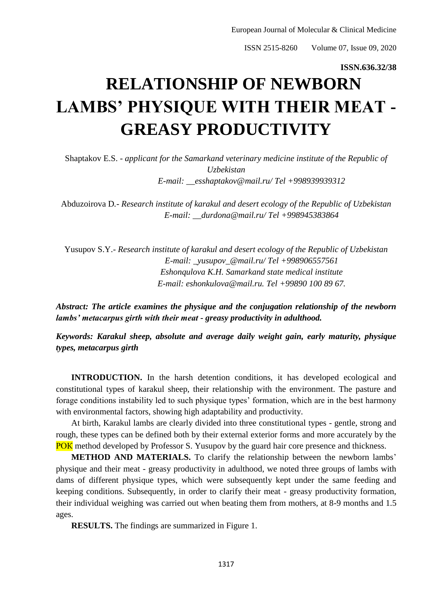ISSN 2515-8260 Volume 07, Issue 09, 2020

## **ISSN.636.32/38**

## **RELATIONSHIP OF NEWBORN LAMBS' PHYSIQUE WITH THEIR MEAT - GREASY PRODUCTIVITY**

Shaptakov E.S. - *applicant for the Samarkand veterinary medicine institute of the Republic of Uzbekistan E-mail: \_\_esshaptakov@mail.ru/ Tel +998939939312*

Abduzoirova D*.- Research institute of karakul and desert ecology of the Republic of Uzbekistan E-mail: \_\_durdona@mail.ru/ Tel +998945383864*

Yusupov S.Y.- *Research institute of karakul and desert ecology of the Republic of Uzbekistan E-mail: \_yusupov\_@mail.ru/ Tel +998906557561 Eshonqulova K.H. Samarkand state medical institute E-mail: eshonkulova@mail.ru. Tel +99890 100 89 67.*

*Abstract: The article examines the physique and the conjugation relationship of the newborn lambs' metacarpus girth with their meat - greasy productivity in adulthood.*

*Keywords: Karakul sheep, absolute and average daily weight gain, early maturity, physique types, metacarpus girth*

**INTRODUCTION.** In the harsh detention conditions, it has developed ecological and constitutional types of karakul sheep, their relationship with the environment. The pasture and forage conditions instability led to such physique types' formation, which are in the best harmony with environmental factors, showing high adaptability and productivity.

At birth, Karakul lambs are clearly divided into three constitutional types - gentle, strong and rough, these types can be defined both by their external exterior forms and more accurately by the POK method developed by Professor S. Yusupov by the guard hair core presence and thickness.

**METHOD AND MATERIALS.** To clarify the relationship between the newborn lambs' physique and their meat - greasy productivity in adulthood, we noted three groups of lambs with dams of different physique types, which were subsequently kept under the same feeding and keeping conditions. Subsequently, in order to clarify their meat - greasy productivity formation, their individual weighing was carried out when beating them from mothers, at 8-9 months and 1.5 ages.

**RESULTS.** The findings are summarized in Figure 1.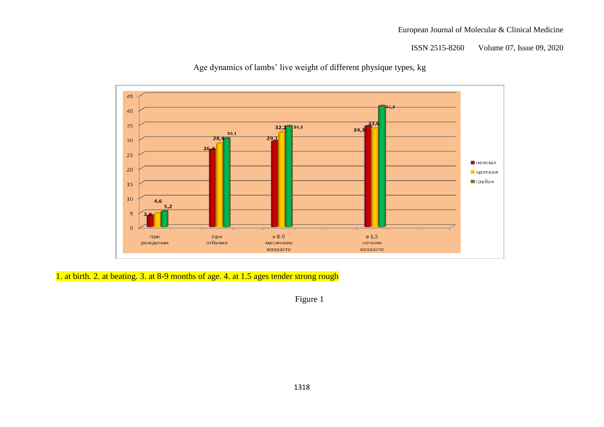## European Journal of Molecular & Clinical Medicine

ISSN 2515-8260 Volume 07, Issue 09, 2020



Age dynamics of lambs' live weight of different physique types, kg

1. at birth. 2. at beating. 3. at 8-9 months of age. 4. at 1.5 ages tender strong rough

Figure 1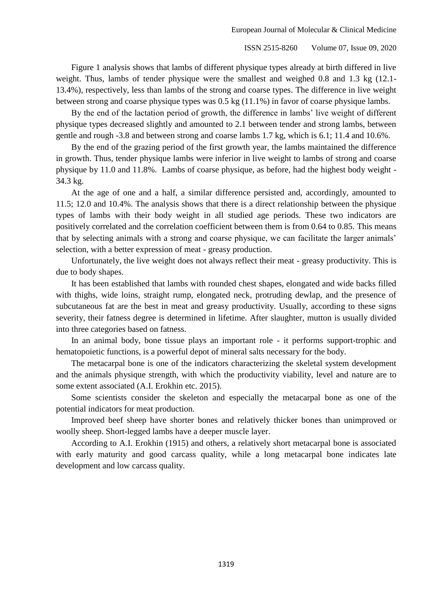Figure 1 analysis shows that lambs of different physique types already at birth differed in live weight. Thus, lambs of tender physique were the smallest and weighed 0.8 and 1.3 kg (12.1- 13.4%), respectively, less than lambs of the strong and coarse types. The difference in live weight between strong and coarse physique types was 0.5 kg (11.1%) in favor of coarse physique lambs.

By the end of the lactation period of growth, the difference in lambs' live weight of different physique types decreased slightly and amounted to 2.1 between tender and strong lambs, between gentle and rough -3.8 and between strong and coarse lambs 1.7 kg, which is 6.1; 11.4 and 10.6%.

By the end of the grazing period of the first growth year, the lambs maintained the difference in growth. Thus, tender physique lambs were inferior in live weight to lambs of strong and coarse physique by 11.0 and 11.8%. Lambs of coarse physique, as before, had the highest body weight - 34.3 kg.

At the age of one and a half, a similar difference persisted and, accordingly, amounted to 11.5; 12.0 and 10.4%. The analysis shows that there is a direct relationship between the physique types of lambs with their body weight in all studied age periods. These two indicators are positively correlated and the correlation coefficient between them is from 0.64 to 0.85. This means that by selecting animals with a strong and coarse physique, we can facilitate the larger animals' selection, with a better expression of meat - greasy production.

Unfortunately, the live weight does not always reflect their meat - greasy productivity. This is due to body shapes.

It has been established that lambs with rounded chest shapes, elongated and wide backs filled with thighs, wide loins, straight rump, elongated neck, protruding dewlap, and the presence of subcutaneous fat are the best in meat and greasy productivity. Usually, according to these signs severity, their fatness degree is determined in lifetime. After slaughter, mutton is usually divided into three categories based on fatness.

In an animal body, bone tissue plays an important role - it performs support-trophic and hematopoietic functions, is a powerful depot of mineral salts necessary for the body.

The metacarpal bone is one of the indicators characterizing the skeletal system development and the animals physique strength, with which the productivity viability, level and nature are to some extent associated (A.I. Erokhin etc. 2015).

Some scientists consider the skeleton and especially the metacarpal bone as one of the potential indicators for meat production.

Improved beef sheep have shorter bones and relatively thicker bones than unimproved or woolly sheep. Short-legged lambs have a deeper muscle layer.

According to A.I. Erokhin (1915) and others, a relatively short metacarpal bone is associated with early maturity and good carcass quality, while a long metacarpal bone indicates late development and low carcass quality.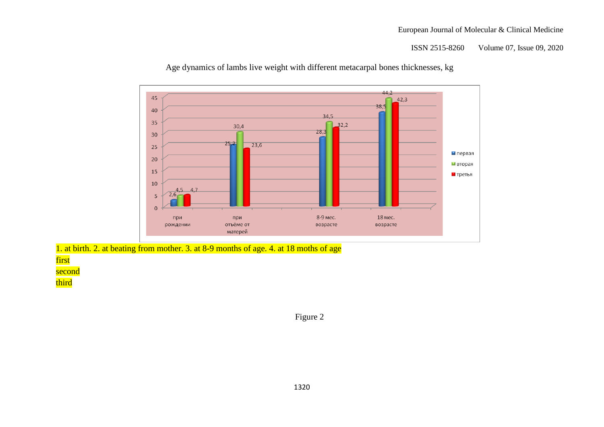ISSN 2515-8260 Volume 07, Issue 09, 2020



Age dynamics of lambs live weight with different metacarpal bones thicknesses, kg

1. at birth. 2. at beating from mother. 3. at 8-9 months of age. 4. at 18 moths of age

first second

third

Figure 2